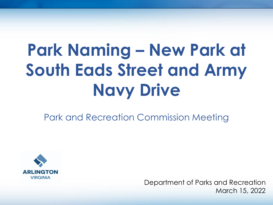# **Park Naming – New Park at South Eads Street and Army Navy Drive**

Park and Recreation Commission Meeting



Department of Parks and Recreation March 15, 2022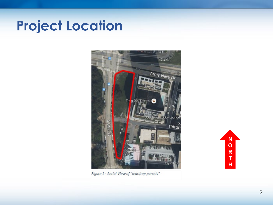### **Project Location**



Figure 1 - Aerial View of "teardrop parcels"

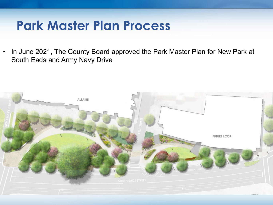### **Park Master Plan Process**

• In June 2021, The County Board approved the Park Master Plan for New Park at South Eads and Army Navy Drive

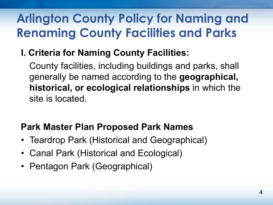### **Arlington County Policy for Naming and Renaming County Facilities and Parks**

**I. Criteria for Naming County Facilities:** 

County facilities, including buildings and parks, shall generally be named according to the **geographical, historical, or ecological relationships** in which the site is located.

### **Park Master Plan Proposed Park Names**

- Teardrop Park (Historical and Geographical)
- Canal Park (Historical and Ecological)
- Pentagon Park (Geographical)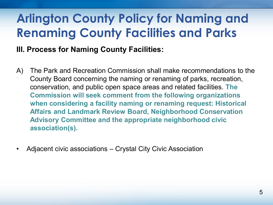### **Arlington County Policy for Naming and Renaming County Facilities and Parks**

#### **III. Process for Naming County Facilities:**

- A) The Park and Recreation Commission shall make recommendations to the County Board concerning the naming or renaming of parks, recreation, conservation, and public open space areas and related facilities. **The Commission will seek comment from the following organizations when considering a facility naming or renaming request: Historical Affairs and Landmark Review Board, Neighborhood Conservation Advisory Committee and the appropriate neighborhood civic association(s).**
- Adjacent civic associations Crystal City Civic Association